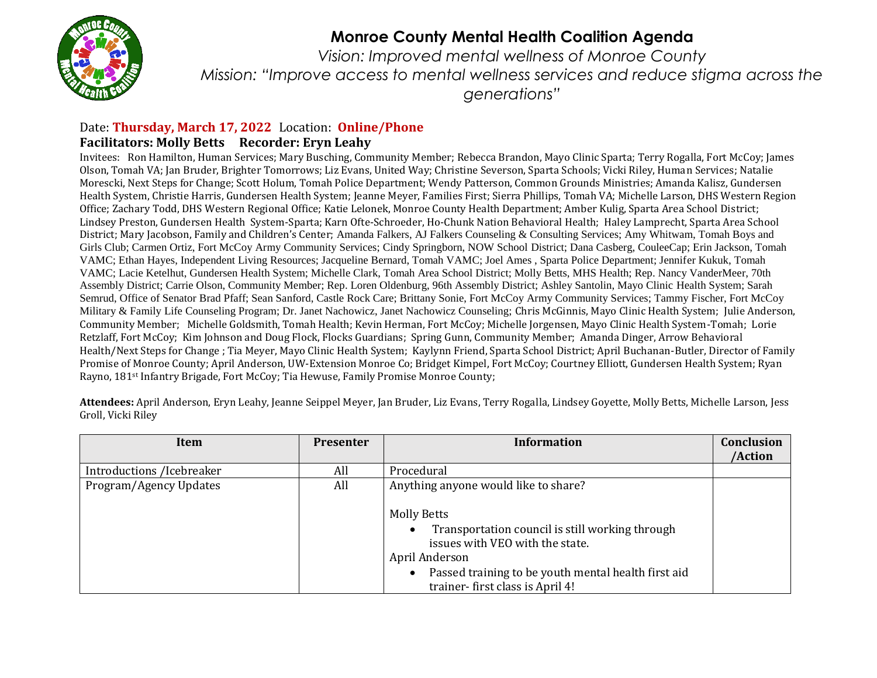

## **Monroe County Mental Health Coalition Agenda**

*Vision: Improved mental wellness of Monroe County Mission: "Improve access to mental wellness services and reduce stigma across the generations"*

## Date: **Thursday, March 17, 2022** Location: **Online/Phone Facilitators: Molly Betts Recorder: Eryn Leahy**

Invitees: Ron Hamilton, Human Services; Mary Busching, Community Member; Rebecca Brandon, Mayo Clinic Sparta; Terry Rogalla, Fort McCoy; James Olson, Tomah VA; Jan Bruder, Brighter Tomorrows; Liz Evans, United Way; Christine Severson, Sparta Schools; Vicki Riley, Human Services; Natalie Morescki, Next Steps for Change; Scott Holum, Tomah Police Department; Wendy Patterson, Common Grounds Ministries; Amanda Kalisz, Gundersen Health System, Christie Harris, Gundersen Health System; Jeanne Meyer, Families First; Sierra Phillips, Tomah VA; Michelle Larson, DHS Western Region Office; Zachary Todd, DHS Western Regional Office; Katie Lelonek, Monroe County Health Department; Amber Kulig, Sparta Area School District; Lindsey Preston, Gundersen Health System-Sparta; Karn Ofte-Schroeder, Ho-Chunk Nation Behavioral Health; Haley Lamprecht, Sparta Area School District; Mary Jacobson, Family and Children's Center; Amanda Falkers, AJ Falkers Counseling & Consulting Services; Amy Whitwam, Tomah Boys and Girls Club; Carmen Ortiz, Fort McCoy Army Community Services; Cindy Springborn, NOW School District; Dana Casberg, CouleeCap; Erin Jackson, Tomah VAMC; Ethan Hayes, Independent Living Resources; Jacqueline Bernard, Tomah VAMC; Joel Ames , Sparta Police Department; Jennifer Kukuk, Tomah VAMC; Lacie Ketelhut, Gundersen Health System; Michelle Clark, Tomah Area School District; Molly Betts, MHS Health; Rep. Nancy VanderMeer, 70th Assembly District; Carrie Olson, Community Member; Rep. Loren Oldenburg, 96th Assembly District; Ashley Santolin, Mayo Clinic Health System; Sarah Semrud, Office of Senator Brad Pfaff; Sean Sanford, Castle Rock Care; Brittany Sonie, Fort McCoy Army Community Services; Tammy Fischer, Fort McCoy Military & Family Life Counseling Program; Dr. Janet Nachowicz, Janet Nachowicz Counseling; Chris McGinnis, Mayo Clinic Health System; Julie Anderson, Community Member; Michelle Goldsmith, Tomah Health; Kevin Herman, Fort McCoy; Michelle Jorgensen, Mayo Clinic Health System-Tomah; Lorie Retzlaff, Fort McCoy; Kim Johnson and Doug Flock, Flocks Guardians; Spring Gunn, Community Member; Amanda Dinger, Arrow Behavioral Health/Next Steps for Change ; Tia Meyer, Mayo Clinic Health System; Kaylynn Friend, Sparta School District; April Buchanan-Butler, Director of Family Promise of Monroe County; April Anderson, UW-Extension Monroe Co; Bridget Kimpel, Fort McCoy; Courtney Elliott, Gundersen Health System; Ryan Rayno, 181st Infantry Brigade, Fort McCoy; Tia Hewuse, Family Promise Monroe County;

**Attendees:** April Anderson, Eryn Leahy, Jeanne Seippel Meyer, Jan Bruder, Liz Evans, Terry Rogalla, Lindsey Goyette, Molly Betts, Michelle Larson, Jess Groll, Vicki Riley

| Item                      | <b>Presenter</b> | <b>Information</b>                                                                                                                                                                                                   | <b>Conclusion</b> |
|---------------------------|------------------|----------------------------------------------------------------------------------------------------------------------------------------------------------------------------------------------------------------------|-------------------|
|                           |                  |                                                                                                                                                                                                                      | /Action           |
| Introductions /Icebreaker | All              | Procedural                                                                                                                                                                                                           |                   |
| Program/Agency Updates    | All              | Anything anyone would like to share?                                                                                                                                                                                 |                   |
|                           |                  | <b>Molly Betts</b><br>Transportation council is still working through<br>issues with VEO with the state.<br>April Anderson<br>Passed training to be youth mental health first aid<br>trainer-first class is April 4! |                   |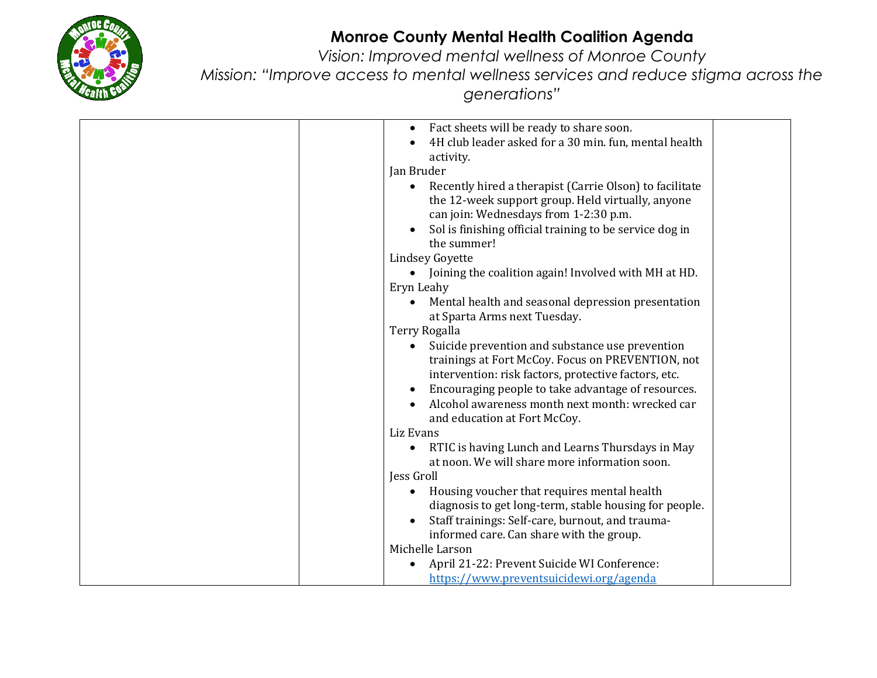

## **Monroe County Mental Health Coalition Agenda**

*Vision: Improved mental wellness of Monroe County*

*Mission: "Improve access to mental wellness services and reduce stigma across the generations"*

| Fact sheets will be ready to share soon.                             |
|----------------------------------------------------------------------|
| 4H club leader asked for a 30 min. fun, mental health                |
| activity.                                                            |
| Jan Bruder                                                           |
| Recently hired a therapist (Carrie Olson) to facilitate<br>$\bullet$ |
| the 12-week support group. Held virtually, anyone                    |
| can join: Wednesdays from 1-2:30 p.m.                                |
| Sol is finishing official training to be service dog in              |
| the summer!                                                          |
| <b>Lindsey Goyette</b>                                               |
| Joining the coalition again! Involved with MH at HD.                 |
| Eryn Leahy                                                           |
| Mental health and seasonal depression presentation                   |
| at Sparta Arms next Tuesday.                                         |
| <b>Terry Rogalla</b>                                                 |
| Suicide prevention and substance use prevention                      |
| trainings at Fort McCoy. Focus on PREVENTION, not                    |
| intervention: risk factors, protective factors, etc.                 |
| Encouraging people to take advantage of resources.                   |
| Alcohol awareness month next month: wrecked car                      |
| and education at Fort McCoy.                                         |
| Liz Evans                                                            |
| RTIC is having Lunch and Learns Thursdays in May<br>$\bullet$        |
| at noon. We will share more information soon.                        |
| Jess Groll                                                           |
| Housing voucher that requires mental health<br>$\bullet$             |
| diagnosis to get long-term, stable housing for people.               |
| Staff trainings: Self-care, burnout, and trauma-                     |
| informed care. Can share with the group.                             |
| Michelle Larson                                                      |
| April 21-22: Prevent Suicide WI Conference:                          |
| https://www.preventsuicidewi.org/agenda                              |